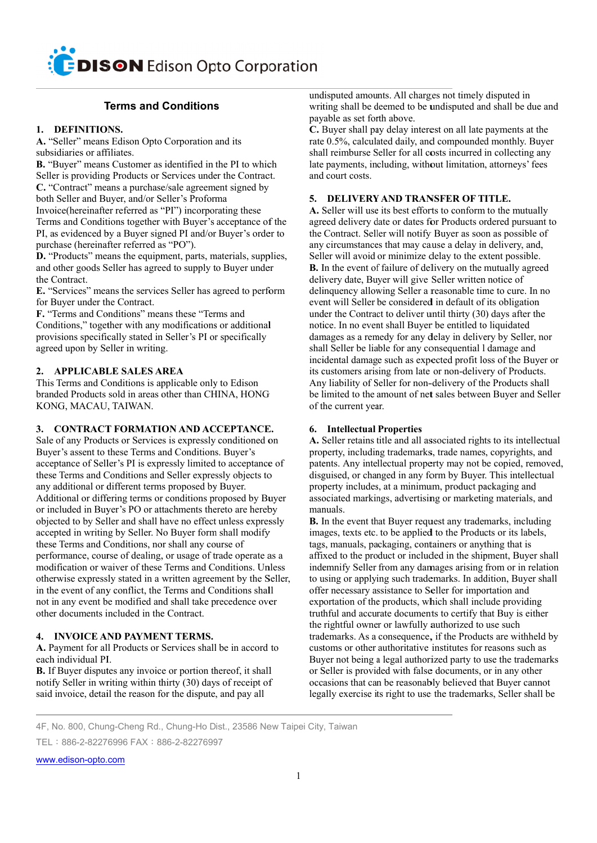# **Terms and Conditions**

## 1. DEFINITIONS.

A. "Seller" means Edison Opto Corporation and its subsidiaries or affiliates.

B. "Buyer" means Customer as identified in the PI to which Seller is providing Products or Services under the Contract. C. "Contract" means a purchase/sale agreement signed by both Seller and Buyer, and/or Seller's Proforma Invoice (hereinafter referred as "PI") incorporating these Terms and Conditions together with Buyer's acceptance of the PI, as evidenced by a Buyer signed PI and/or Buyer's order to purchase (hereinafter referred as "PO").

D. "Products" means the equipment, parts, materials, supplies, and other goods Seller has agreed to supply to Buyer under the Contract.

E. "Services" means the services Seller has agreed to perform for Buyer under the Contract.

F. "Terms and Conditions" means these "Terms and Conditions," together with any modifications or additional provisions specifically stated in Seller's PI or specifically agreed upon by Seller in writing.

## 2. APPLICABLE SALES AREA

This Terms and Conditions is applicable only to Edison branded Products sold in areas other than CHINA, HONG KONG, MACAU, TAIWAN.

## 3. CONTRACT FORMATION AND ACCEPTANCE.

Sale of any Products or Services is expressly conditioned on Buyer's assent to these Terms and Conditions. Buyer's acceptance of Seller's PI is expressly limited to acceptance of these Terms and Conditions and Seller expressly objects to any additional or different terms proposed by Buyer. Additional or differing terms or conditions proposed by Buyer or included in Buyer's PO or attachments thereto are hereby objected to by Seller and shall have no effect unless expressly accepted in writing by Seller. No Buyer form shall modify these Terms and Conditions, nor shall any course of performance, course of dealing, or usage of trade operate as a modification or waiver of these Terms and Conditions. Unless otherwise expressly stated in a written agreement by the Seller, in the event of any conflict, the Terms and Conditions shall not in any event be modified and shall take precedence over other documents included in the Contract.

## 4. INVOICE AND PAYMENT TERMS.

A. Payment for all Products or Services shall be in accord to each individual PI.

**B.** If Buyer disputes any invoice or portion thereof, it shall notify Seller in writing within thirty (30) days of receipt of said invoice, detail the reason for the dispute, and pay all

undisputed amounts. All charges not timely disputed in writing shall be deemed to be undisputed and shall be due and payable as set forth above.

C. Buyer shall pay delay interest on all late payments at the rate 0.5%, calculated daily, and compounded monthly. Buyer shall reimburse Seller for all costs incurred in collecting any late payments, including, without limitation, attorneys' fees and court costs.

## 5. DELIVERY AND TRANSFER OF TITLE.

A. Seller will use its best efforts to conform to the mutually agreed delivery date or dates for Products ordered pursuant to the Contract. Seller will notify Buyer as soon as possible of any circumstances that may cause a delay in delivery, and, Seller will avoid or minimize delay to the extent possible. B. In the event of failure of delivery on the mutually agreed delivery date, Buyer will give Seller written notice of delinquency allowing Seller a reasonable time to cure. In no event will Seller be considered in default of its obligation under the Contract to deliver until thirty (30) days after the notice. In no event shall Buyer be entitled to liquidated damages as a remedy for any delay in delivery by Seller, nor shall Seller be liable for any consequential I damage and incidental damage such as expected profit loss of the Buyer or its customers arising from late or non-delivery of Products. Any liability of Seller for non-delivery of the Products shall be limited to the amount of net sales between Buyer and Seller of the current year.

## **6.** Intellectual Properties

A. Seller retains title and all associated rights to its intellectual property, including trademarks, trade names, copyrights, and patents. Any intellectual property may not be copied, removed, disguised, or changed in any form by Buyer. This intellectual property includes, at a minimum, product packaging and associated markings, advertising or marketing materials, and manuals.

**B.** In the event that Buyer request any trademarks, including images, texts etc. to be applied to the Products or its labels, tags, manuals, packaging, containers or anything that is affixed to the product or included in the shipment, Buyer shall indemnify Seller from any damages arising from or in relation to using or applying such trademarks. In addition, Buyer shall offer necessary assistance to Seller for importation and exportation of the products, which shall include providing truthful and accurate documents to certify that Buy is either the rightful owner or lawfully authorized to use such trademarks. As a consequence, if the Products are withheld by customs or other authoritative institutes for reasons such as Buyer not being a legal authorized party to use the trademarks or Seller is provided with false documents, or in any other occasions that can be reasonably believed that Buyer cannot legally exercise its right to use the trademarks, Seller shall be

4F, No. 800, Chung-Cheng Rd., Chung-Ho Dist., 23586 New Taipei City, Taiwan

TFI: 886-2-82276996 FAX: 886-2-82276997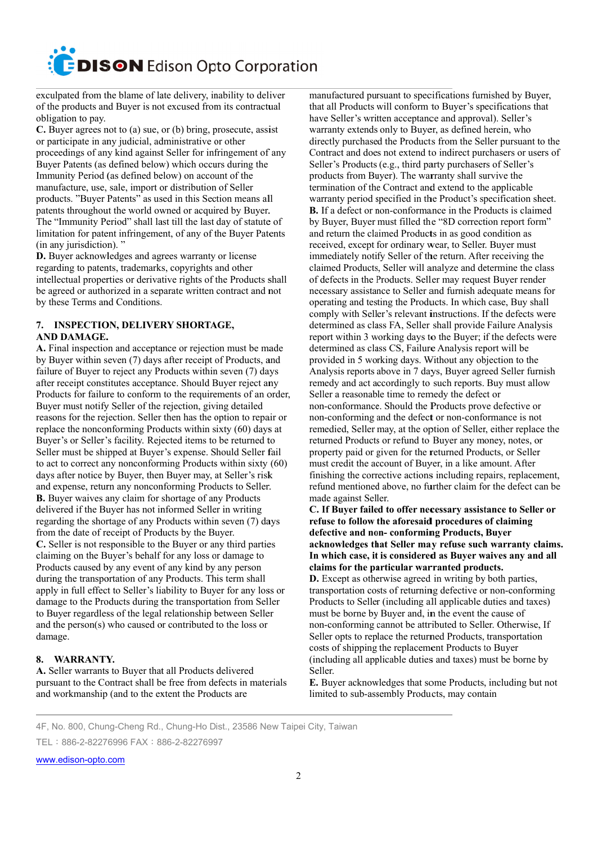exculpated from the blame of late delivery, inability to deliver of the products and Buyer is not excused from its contractual obligation to pay.

C. Buyer agrees not to (a) sue, or (b) bring, prosecute, assist or participate in any judicial, administrative or other proceedings of any kind against Seller for infringement of any Buyer Patents (as defined below) which occurs during the Immunity Period (as defined below) on account of the manufacture, use, sale, import or distribution of Seller products. "Buyer Patents" as used in this Section means all patents throughout the world owned or acquired by Buyer. The "Immunity Period" shall last till the last day of statute of limitation for patent infringement, of any of the Buyer Patents (in any jurisdiction)."

D. Buyer acknowledges and agrees warranty or license regarding to patents, trademarks, copyrights and other intellectual properties or derivative rights of the Products shall be agreed or authorized in a separate written contract and not by these Terms and Conditions.

## 7. INSPECTION, DELIVERY SHORTAGE, **AND DAMAGE.**

A. Final inspection and acceptance or rejection must be made by Buyer within seven (7) days after receipt of Products, and failure of Buyer to reject any Products within seven (7) days after receipt constitutes acceptance. Should Buyer reject any Products for failure to conform to the requirements of an order, Buyer must notify Seller of the rejection, giving detailed reasons for the rejection. Seller then has the option to repair or replace the nonconforming Products within sixty (60) days at Buyer's or Seller's facility. Rejected items to be returned to Seller must be shipped at Buyer's expense. Should Seller fail to act to correct any nonconforming Products within sixty  $(60)$ days after notice by Buyer, then Buyer may, at Seller's risk and expense, return any nonconforming Products to Seller. B. Buyer waives any claim for shortage of any Products delivered if the Buyer has not informed Seller in writing regarding the shortage of any Products within seven (7) days from the date of receipt of Products by the Buyer. C. Seller is not responsible to the Buyer or any third parties claiming on the Buyer's behalf for any loss or damage to Products caused by any event of any kind by any person during the transportation of any Products. This term shall apply in full effect to Seller's liability to Buyer for any loss or damage to the Products during the transportation from Seller to Buyer regardless of the legal relationship between Seller and the person(s) who caused or contributed to the loss or damage.

## 8. WARRANTY.

A. Seller warrants to Buyer that all Products delivered pursuant to the Contract shall be free from defects in materials and workmanship (and to the extent the Products are

manufactured pursuant to specifications furnished by Buyer, that all Products will conform to Buver's specifications that have Seller's written acceptance and approval). Seller's warranty extends only to Buyer, as defined herein, who directly purchased the Products from the Seller pursuant to the Contract and does not extend to indirect purchasers or users of Seller's Products (e.g., third party purchasers of Seller's products from Buyer). The warranty shall survive the termination of the Contract and extend to the applicable warranty period specified in the Product's specification sheet. B. If a defect or non-conformance in the Products is claimed by Buyer, Buyer must filled the "8D correction report form" and return the claimed Products in as good condition as received, except for ordinary wear, to Seller. Buyer must immediately notify Seller of the return. After receiving the claimed Products, Seller will analyze and determine the class of defects in the Products. Seller may request Buyer render necessary assistance to Seller and furnish adequate means for operating and testing the Products. In which case, Buy shall comply with Seller's relevant instructions. If the defects were determined as class FA, Seller shall provide Failure Analysis report within 3 working days to the Buyer: if the defects were determined as class CS, Failure Analysis report will be provided in 5 working days. Without any objection to the Analysis reports above in 7 days, Buyer agreed Seller furnish remedy and act accordingly to such reports. Buy must allow Seller a reasonable time to remedy the defect or non-conformance. Should the Products prove defective or non-conforming and the defect or non-conformance is not remedied, Seller may, at the option of Seller, either replace the returned Products or refund to Buyer any money, notes, or property paid or given for the returned Products, or Seller must credit the account of Buyer, in a like amount. After finishing the corrective actions including repairs, replacement, refund mentioned above, no further claim for the defect can be made against Seller.

C. If Buyer failed to offer necessary assistance to Seller or refuse to follow the aforesaid procedures of claiming defective and non-conforming Products, Buver acknowledges that Seller may refuse such warranty claims. In which case, it is considered as Buyer waives any and all claims for the particular warranted products.

**D.** Except as otherwise agreed in writing by both parties, transportation costs of returning defective or non-conforming Products to Seller (including all applicable duties and taxes) must be borne by Buyer and, in the event the cause of non-conforming cannot be attributed to Seller. Otherwise, If Seller opts to replace the returned Products, transportation costs of shipping the replacement Products to Buyer (including all applicable duties and taxes) must be borne by Seller.

E. Buyer acknowledges that some Products, including but not limited to sub-assembly Products, may contain

4F, No. 800, Chung-Cheng Rd., Chung-Ho Dist., 23586 New Taipei City, Taiwan

TFI: 886-2-82276996 FAX: 886-2-82276997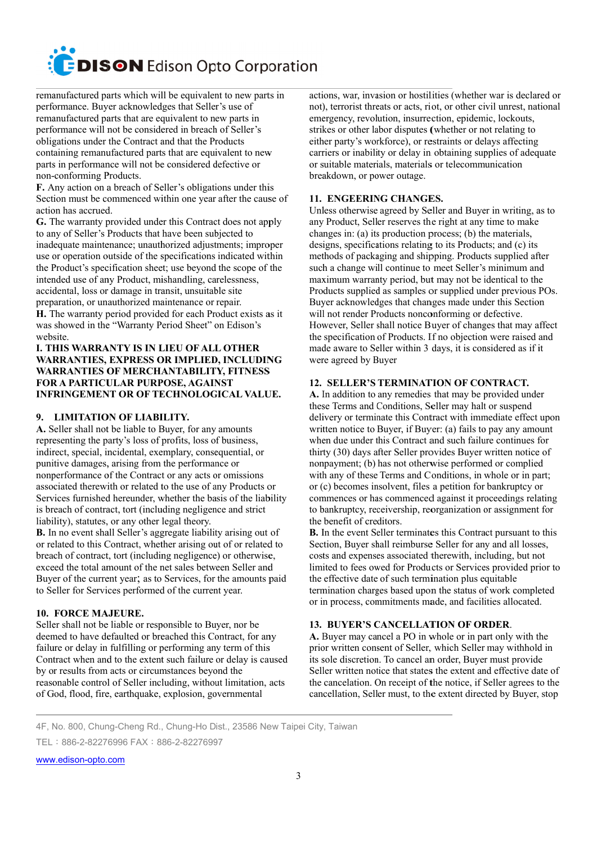remanufactured parts which will be equivalent to new parts in performance. Buyer acknowledges that Seller's use of remanufactured parts that are equivalent to new parts in performance will not be considered in breach of Seller's obligations under the Contract and that the Products containing remanufactured parts that are equivalent to new parts in performance will not be considered defective or non-conforming Products.

F. Any action on a breach of Seller's obligations under this Section must be commenced within one year after the cause of action has accrued.

G. The warranty provided under this Contract does not apply to any of Seller's Products that have been subjected to inadequate maintenance; unauthorized adjustments; improper use or operation outside of the specifications indicated within the Product's specification sheet; use beyond the scope of the intended use of any Product, mishandling, carelessness, accidental, loss or damage in transit, unsuitable site preparation, or unauthorized maintenance or repair.

H. The warranty period provided for each Product exists as it was showed in the "Warranty Period Sheet" on Edison's website.

## **I. THIS WARRANTY IS IN LIEU OF ALL OTHER WARRANTIES, EXPRESS OR IMPLIED, INCLUDING WARRANTIES OF MERCHANTABILITY, FITNESS FOR A PARTICULAR PURPOSE, AGAINST INFRINGEMENT OR OF TECHNOLOGICAL VALUE.**

## 9. LIMITATION OF LIABILITY.

A. Seller shall not be liable to Buyer, for any amounts representing the party's loss of profits, loss of business, indirect, special, incidental, exemplary, consequential, or punitive damages, arising from the performance or nonperformance of the Contract or any acts or omissions associated therewith or related to the use of any Products or Services furnished hereunder, whether the basis of the liability is breach of contract, tort (including negligence and strict liability), statutes, or any other legal theory.

**B.** In no event shall Seller's aggregate liability arising out of or related to this Contract, whether arising out of or related to breach of contract, tort (including negligence) or otherwise, exceed the total amount of the net sales between Seller and Buyer of the current year; as to Services, for the amounts paid to Seller for Services performed of the current year.

## 10. FORCE MAJEURE.

Seller shall not be liable or responsible to Buyer, nor be deemed to have defaulted or breached this Contract, for any failure or delay in fulfilling or performing any term of this Contract when and to the extent such failure or delay is caused by or results from acts or circumstances beyond the reasonable control of Seller including, without limitation, acts of God, flood, fire, earthquake, explosion, governmental

actions, war, invasion or hostilities (whether war is declared or not), terrorist threats or acts, riot, or other civil unrest, national emergency, revolution, insurrection, epidemic, lockouts, strikes or other labor disputes (whether or not relating to either party's workforce), or restraints or delays affecting carriers or inability or delay in obtaining supplies of adequate or suitable materials, materials or telecommunication breakdown, or power outage.

## 11. ENGEERING CHANGES.

Unless otherwise agreed by Seller and Buyer in writing, as to any Product, Seller reserves the right at any time to make changes in: (a) its production process; (b) the materials, designs, specifications relating to its Products; and (c) its methods of packaging and shipping. Products supplied after such a change will continue to meet Seller's minimum and maximum warranty period, but may not be identical to the Products supplied as samples or supplied under previous POs. Buyer acknowledges that changes made under this Section will not render Products nonconforming or defective. However, Seller shall notice Buyer of changes that may affect the specification of Products. If no objection were raised and made aware to Seller within 3 days, it is considered as if it were agreed by Buyer

## 12. SELLER'S TERMINATION OF CONTRACT.

A. In addition to any remedies that may be provided under these Terms and Conditions, Seller may halt or suspend delivery or terminate this Contract with immediate effect upon written notice to Buyer, if Buyer: (a) fails to pay any amount when due under this Contract and such failure continues for thirty (30) days after Seller provides Buyer written notice of nonpayment; (b) has not otherwise performed or complied with any of these Terms and Conditions, in whole or in part; or (c) becomes insolvent, files a petition for bankruptcy or commences or has commenced against it proceedings relating to bankruptcy, receivership, reorganization or assignment for the benefit of creditors.

**B.** In the event Seller terminates this Contract pursuant to this Section, Buyer shall reimburse Seller for any and all losses, costs and expenses associated therewith, including, but not limited to fees owed for Products or Services provided prior to the effective date of such termination plus equitable termination charges based upon the status of work completed or in process, commitments made, and facilities allocated.

## 13. BUYER'S CANCELLATION OF ORDER.

A. Buyer may cancel a PO in whole or in part only with the prior written consent of Seller, which Seller may withhold in its sole discretion. To cancel an order, Buyer must provide Seller written notice that states the extent and effective date of the cancelation. On receipt of the notice, if Seller agrees to the cancellation, Seller must, to the extent directed by Buyer, stop

4F, No. 800, Chung-Cheng Rd., Chung-Ho Dist., 23586 New Taipei City, Taiwan

TFL: 886-2-82276996 FAX: 886-2-82276997